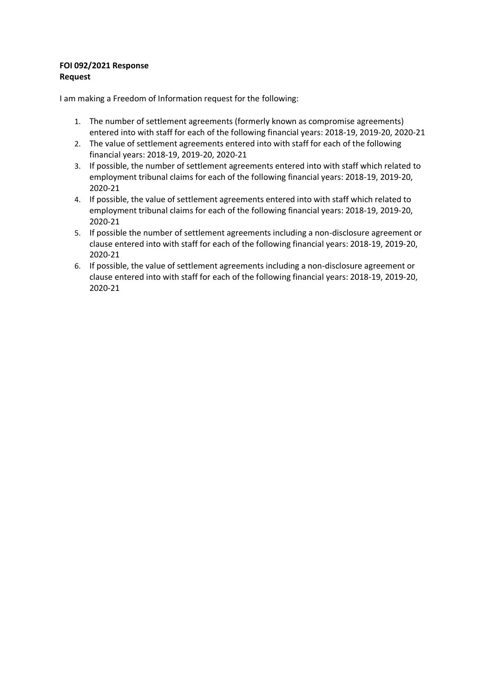## **FOI 092/2021 Response Request**

I am making a Freedom of Information request for the following:

- 1. The number of settlement agreements (formerly known as compromise agreements) entered into with staff for each of the following financial years: 2018-19, 2019-20, 2020-21
- 2. The value of settlement agreements entered into with staff for each of the following financial years: 2018-19, 2019-20, 2020-21
- 3. If possible, the number of settlement agreements entered into with staff which related to employment tribunal claims for each of the following financial years: 2018-19, 2019-20, 2020-21
- 4. If possible, the value of settlement agreements entered into with staff which related to employment tribunal claims for each of the following financial years: 2018-19, 2019-20, 2020-21
- 5. If possible the number of settlement agreements including a non-disclosure agreement or clause entered into with staff for each of the following financial years: 2018-19, 2019-20, 2020-21
- 6. If possible, the value of settlement agreements including a non-disclosure agreement or clause entered into with staff for each of the following financial years: 2018-19, 2019-20, 2020-21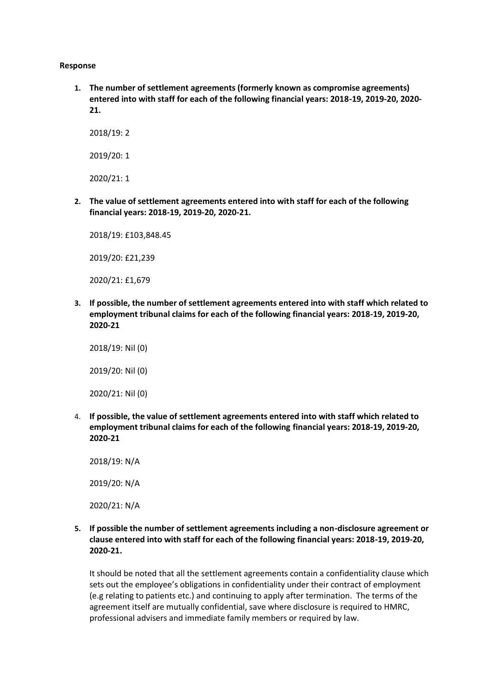## **Response**

**1. The number of settlement agreements (formerly known as compromise agreements) entered into with staff for each of the following financial years: 2018-19, 2019-20, 2020- 21.**

2018/19: 2 2019/20: 1 2020/21: 1

**2. The value of settlement agreements entered into with staff for each of the following financial years: 2018-19, 2019-20, 2020-21.**

2018/19: £103,848.45

2019/20: £21,239

2020/21: £1,679

**3. If possible, the number of settlement agreements entered into with staff which related to employment tribunal claims for each of the following financial years: 2018-19, 2019-20, 2020-21**

2018/19: Nil (0) 2019/20: Nil (0) 2020/21: Nil (0)

4. **If possible, the value of settlement agreements entered into with staff which related to employment tribunal claims for each of the following financial years: 2018-19, 2019-20, 2020-21**

2018/19: N/A 2019/20: N/A 2020/21: N/A

**5. If possible the number of settlement agreements including a non-disclosure agreement or clause entered into with staff for each of the following financial years: 2018-19, 2019-20, 2020-21.**

It should be noted that all the settlement agreements contain a confidentiality clause which sets out the employee's obligations in confidentiality under their contract of employment (e.g relating to patients etc.) and continuing to apply after termination. The terms of the agreement itself are mutually confidential, save where disclosure is required to HMRC, professional advisers and immediate family members or required by law.